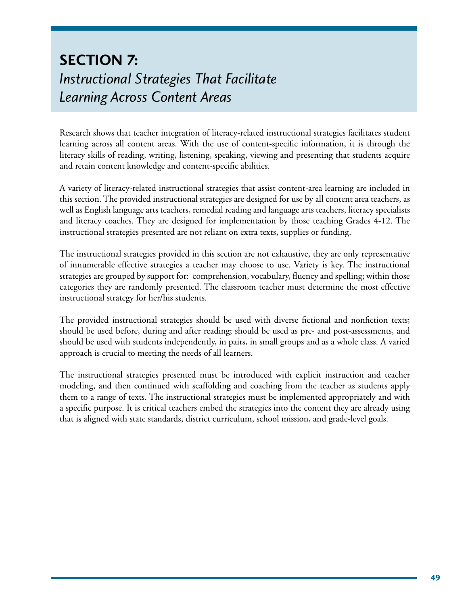# **Section 7:**  *Instructional Strategies That Facilitate Learning Across Content Areas*

Research shows that teacher integration of literacy-related instructional strategies facilitates student learning across all content areas. With the use of content-specific information, it is through the literacy skills of reading, writing, listening, speaking, viewing and presenting that students acquire and retain content knowledge and content-specific abilities.

A variety of literacy-related instructional strategies that assist content-area learning are included in this section. The provided instructional strategies are designed for use by all content area teachers, as well as English language arts teachers, remedial reading and language arts teachers, literacy specialists and literacy coaches. They are designed for implementation by those teaching Grades 4-12. The instructional strategies presented are not reliant on extra texts, supplies or funding.

The instructional strategies provided in this section are not exhaustive, they are only representative of innumerable effective strategies a teacher may choose to use. Variety is key. The instructional strategies are grouped by support for: comprehension, vocabulary, fluency and spelling; within those categories they are randomly presented. The classroom teacher must determine the most effective instructional strategy for her/his students.

The provided instructional strategies should be used with diverse fictional and nonfiction texts; should be used before, during and after reading; should be used as pre- and post-assessments, and should be used with students independently, in pairs, in small groups and as a whole class. A varied approach is crucial to meeting the needs of all learners.

The instructional strategies presented must be introduced with explicit instruction and teacher modeling, and then continued with scaffolding and coaching from the teacher as students apply them to a range of texts. The instructional strategies must be implemented appropriately and with a specific purpose. It is critical teachers embed the strategies into the content they are already using that is aligned with state standards, district curriculum, school mission, and grade-level goals.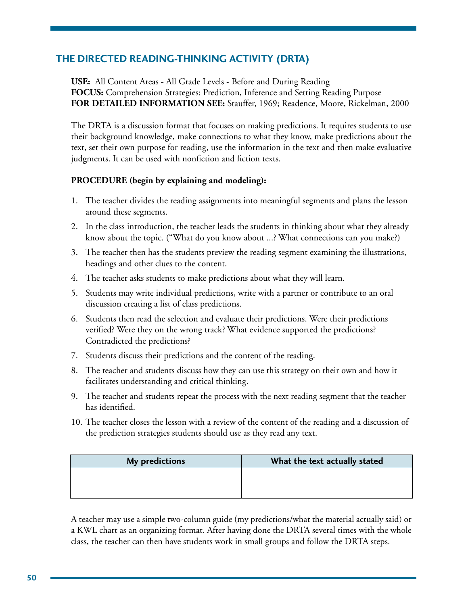# **The Directed Reading-Thinking Activity (DRTA)**

**USE:** All Content Areas - All Grade Levels - Before and During Reading **FOCUS:** Comprehension Strategies: Prediction, Inference and Setting Reading Purpose **FOR DETAILED INFORMATION SEE:** Stauffer, 1969; Readence, Moore, Rickelman, 2000

The DRTA is a discussion format that focuses on making predictions. It requires students to use their background knowledge, make connections to what they know, make predictions about the text, set their own purpose for reading, use the information in the text and then make evaluative judgments. It can be used with nonfiction and fiction texts.

### **PROCEDURE** (begin by explaining and modeling):

- 1. The teacher divides the reading assignments into meaningful segments and plans the lesson around these segments.
- 2. In the class introduction, the teacher leads the students in thinking about what they already know about the topic. ("What do you know about ...? What connections can you make?)
- 3. The teacher then has the students preview the reading segment examining the illustrations, headings and other clues to the content.
- 4. The teacher asks students to make predictions about what they will learn.
- 5. Students may write individual predictions, write with a partner or contribute to an oral discussion creating a list of class predictions.
- 6. Students then read the selection and evaluate their predictions. Were their predictions verified? Were they on the wrong track? What evidence supported the predictions? Contradicted the predictions?
- 7. Students discuss their predictions and the content of the reading.
- 8. The teacher and students discuss how they can use this strategy on their own and how it facilitates understanding and critical thinking.
- 9. The teacher and students repeat the process with the next reading segment that the teacher has identified.
- 10. The teacher closes the lesson with a review of the content of the reading and a discussion of the prediction strategies students should use as they read any text.

| My predictions | What the text actually stated |
|----------------|-------------------------------|
|                |                               |
|                |                               |

A teacher may use a simple two-column guide (my predictions/what the material actually said) or a KWL chart as an organizing format. After having done the DRTA several times with the whole class, the teacher can then have students work in small groups and follow the DRTA steps.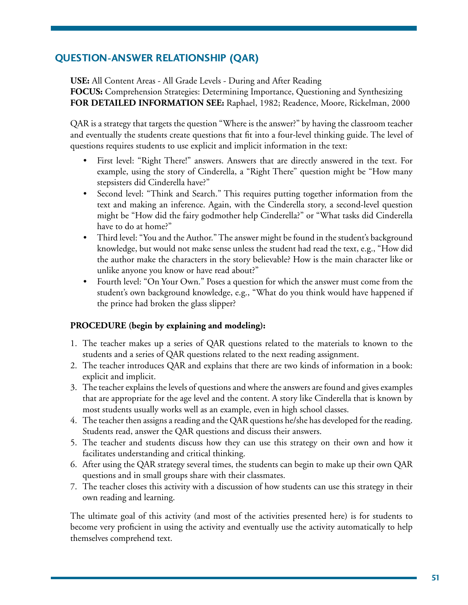# **Question-Answer Relationship (QAR)**

**USE:** All Content Areas - All Grade Levels - During and After Reading

**FOCUS:** Comprehension Strategies: Determining Importance, Questioning and Synthesizing **FOR DETAILED INFORMATION SEE:** Raphael, 1982; Readence, Moore, Rickelman, 2000

QAR is a strategy that targets the question "Where is the answer?" by having the classroom teacher and eventually the students create questions that fit into a four-level thinking guide. The level of questions requires students to use explicit and implicit information in the text:

- First level: "Right There!" answers. Answers that are directly answered in the text. For example, using the story of Cinderella, a "Right There" question might be "How many stepsisters did Cinderella have?"
- Second level: "Think and Search." This requires putting together information from the text and making an inference. Again, with the Cinderella story, a second-level question might be "How did the fairy godmother help Cinderella?" or "What tasks did Cinderella have to do at home?"
- Third level: "You and the Author." The answer might be found in the student's background knowledge, but would not make sense unless the student had read the text, e.g., "How did the author make the characters in the story believable? How is the main character like or unlike anyone you know or have read about?"
- Fourth level: "On Your Own." Poses a question for which the answer must come from the student's own background knowledge, e.g., "What do you think would have happened if the prince had broken the glass slipper?

### **PROCEDURE** (begin by explaining and modeling):

- 1. The teacher makes up a series of QAR questions related to the materials to known to the students and a series of QAR questions related to the next reading assignment.
- 2. The teacher introduces QAR and explains that there are two kinds of information in a book: explicit and implicit.
- 3. The teacher explains the levels of questions and where the answers are found and gives examples that are appropriate for the age level and the content. A story like Cinderella that is known by most students usually works well as an example, even in high school classes.
- 4. The teacher then assigns a reading and the QAR questions he/she has developed for the reading. Students read, answer the QAR questions and discuss their answers.
- 5. The teacher and students discuss how they can use this strategy on their own and how it facilitates understanding and critical thinking.
- 6. After using the QAR strategy several times, the students can begin to make up their own QAR questions and in small groups share with their classmates.
- 7. The teacher closes this activity with a discussion of how students can use this strategy in their own reading and learning.

The ultimate goal of this activity (and most of the activities presented here) is for students to become very proficient in using the activity and eventually use the activity automatically to help themselves comprehend text.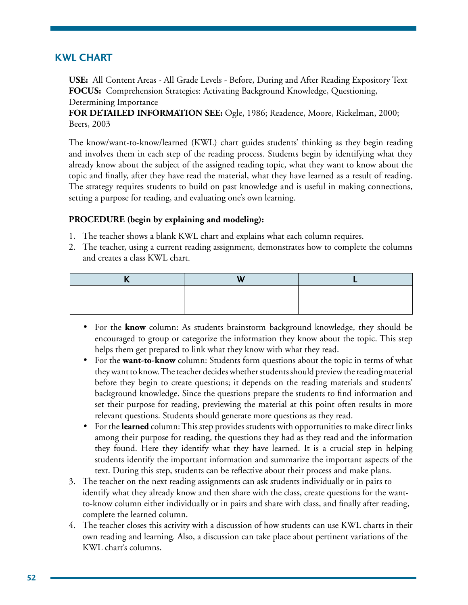### **KWL Chart**

**USE:** All Content Areas - All Grade Levels - Before, During and After Reading Expository Text **FOCUS:** Comprehension Strategies: Activating Background Knowledge, Questioning, Determining Importance

**FOR DETAILED INFORMATION SEE:** Ogle, 1986; Readence, Moore, Rickelman, 2000; Beers, 2003

The know/want-to-know/learned (KWL) chart guides students' thinking as they begin reading and involves them in each step of the reading process. Students begin by identifying what they already know about the subject of the assigned reading topic, what they want to know about the topic and finally, after they have read the material, what they have learned as a result of reading. The strategy requires students to build on past knowledge and is useful in making connections, setting a purpose for reading, and evaluating one's own learning.

- 1. The teacher shows a blank KWL chart and explains what each column requires.
- 2. The teacher, using a current reading assignment, demonstrates how to complete the columns and creates a class KWL chart.

- For the **know** column: As students brainstorm background knowledge, they should be encouraged to group or categorize the information they know about the topic. This step helps them get prepared to link what they know with what they read.
- For the **want-to-know** column: Students form questions about the topic in terms of what they want to know. The teacher decides whether students should preview the reading material before they begin to create questions; it depends on the reading materials and students' background knowledge. Since the questions prepare the students to find information and set their purpose for reading, previewing the material at this point often results in more relevant questions. Students should generate more questions as they read.
- For the **learned** column: This step provides students with opportunities to make direct links among their purpose for reading, the questions they had as they read and the information they found. Here they identify what they have learned. It is a crucial step in helping students identify the important information and summarize the important aspects of the text. During this step, students can be reflective about their process and make plans.
- 3. The teacher on the next reading assignments can ask students individually or in pairs to identify what they already know and then share with the class, create questions for the wantto-know column either individually or in pairs and share with class, and finally after reading, complete the learned column.
- 4. The teacher closes this activity with a discussion of how students can use KWL charts in their own reading and learning. Also, a discussion can take place about pertinent variations of the KWL chart's columns.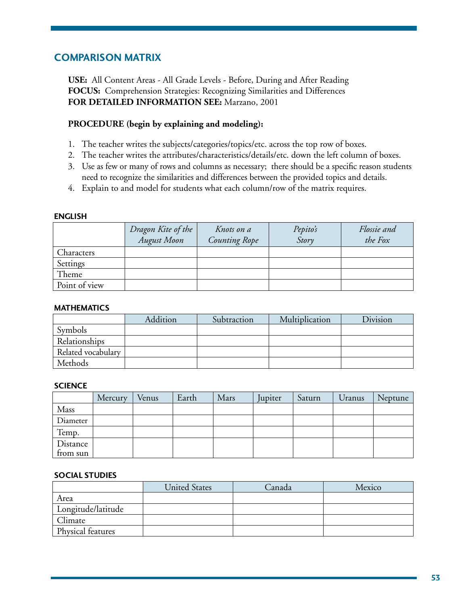### **Comparison Matrix**

**USE:** All Content Areas - All Grade Levels - Before, During and After Reading **FOCUS:** Comprehension Strategies: Recognizing Similarities and Differences **FOR DETAILED INFORMATION SEE:** Marzano, 2001

#### **PROCEDURE (begin by explaining and modeling):**

- 1. The teacher writes the subjects/categories/topics/etc. across the top row of boxes.
- 2. The teacher writes the attributes/characteristics/details/etc. down the left column of boxes.
- 3. Use as few or many of rows and columns as necessary; there should be a specific reason students need to recognize the similarities and differences between the provided topics and details.
- 4. Explain to and model for students what each column/row of the matrix requires.

#### **English**

|               | Dragon Kite of the<br><b>August Moon</b> | Knots on a<br><b>Counting Rope</b> | Pepito's<br>Story | Flossie and<br>the Fox |
|---------------|------------------------------------------|------------------------------------|-------------------|------------------------|
| Characters    |                                          |                                    |                   |                        |
| Settings      |                                          |                                    |                   |                        |
| Theme         |                                          |                                    |                   |                        |
| Point of view |                                          |                                    |                   |                        |

#### **Mathematics**

|                    | Addition | Subtraction | Multiplication | Division |
|--------------------|----------|-------------|----------------|----------|
| Symbols            |          |             |                |          |
| Relationships      |          |             |                |          |
| Related vocabulary |          |             |                |          |
| Methods            |          |             |                |          |

#### **Science**

|          | Mercury | Venus | Earth | Mars | Jupiter | Saturn | Uranus | Neptune |
|----------|---------|-------|-------|------|---------|--------|--------|---------|
| Mass     |         |       |       |      |         |        |        |         |
| Diameter |         |       |       |      |         |        |        |         |
| Temp.    |         |       |       |      |         |        |        |         |
| Distance |         |       |       |      |         |        |        |         |
| from sun |         |       |       |      |         |        |        |         |

#### **Social Studies**

|                    | <b>United States</b> | Canada | Mexico |
|--------------------|----------------------|--------|--------|
| Area               |                      |        |        |
| Longitude/latitude |                      |        |        |
| Climate            |                      |        |        |
| Physical features  |                      |        |        |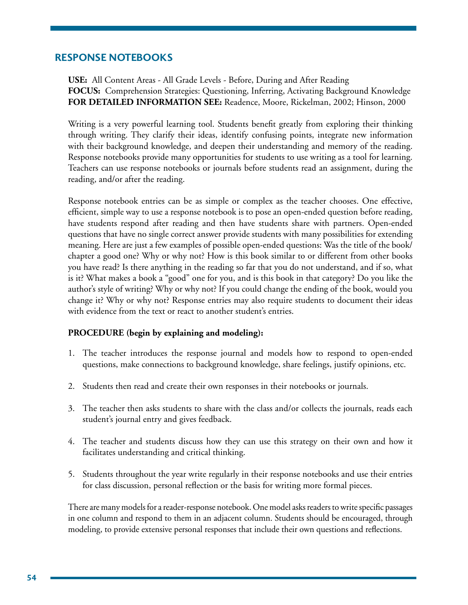### **Response Notebooks**

**USE:** All Content Areas - All Grade Levels - Before, During and After Reading **FOCUS:** Comprehension Strategies: Questioning, Inferring, Activating Background Knowledge **FOR DETAILED INFORMATION SEE:** Readence, Moore, Rickelman, 2002; Hinson, 2000

Writing is a very powerful learning tool. Students benefit greatly from exploring their thinking through writing. They clarify their ideas, identify confusing points, integrate new information with their background knowledge, and deepen their understanding and memory of the reading. Response notebooks provide many opportunities for students to use writing as a tool for learning. Teachers can use response notebooks or journals before students read an assignment, during the reading, and/or after the reading.

Response notebook entries can be as simple or complex as the teacher chooses. One effective, efficient, simple way to use a response notebook is to pose an open-ended question before reading, have students respond after reading and then have students share with partners. Open-ended questions that have no single correct answer provide students with many possibilities for extending meaning. Here are just a few examples of possible open-ended questions: Was the title of the book/ chapter a good one? Why or why not? How is this book similar to or different from other books you have read? Is there anything in the reading so far that you do not understand, and if so, what is it? What makes a book a "good" one for you, and is this book in that category? Do you like the author's style of writing? Why or why not? If you could change the ending of the book, would you change it? Why or why not? Response entries may also require students to document their ideas with evidence from the text or react to another student's entries.

#### **PROCEDURE (begin by explaining and modeling):**

- 1. The teacher introduces the response journal and models how to respond to open-ended questions, make connections to background knowledge, share feelings, justify opinions, etc.
- 2. Students then read and create their own responses in their notebooks or journals.
- 3. The teacher then asks students to share with the class and/or collects the journals, reads each student's journal entry and gives feedback.
- 4. The teacher and students discuss how they can use this strategy on their own and how it facilitates understanding and critical thinking.
- 5. Students throughout the year write regularly in their response notebooks and use their entries for class discussion, personal reflection or the basis for writing more formal pieces.

There are many models for a reader-response notebook. One model asks readers to write specific passages in one column and respond to them in an adjacent column. Students should be encouraged, through modeling, to provide extensive personal responses that include their own questions and reflections.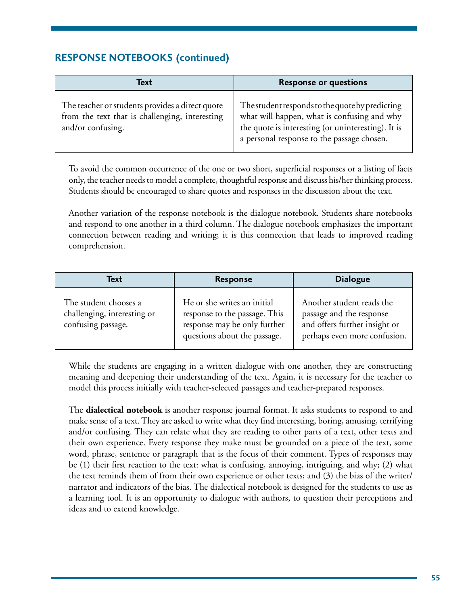# **RESPONSE NOTEBOOKS (continued)**

| Text                                                                                                                   | <b>Response or questions</b>                                                                                                                                                                       |
|------------------------------------------------------------------------------------------------------------------------|----------------------------------------------------------------------------------------------------------------------------------------------------------------------------------------------------|
| The teacher or students provides a direct quote<br>from the text that is challenging, interesting<br>and/or confusing. | The student responds to the quote by predicting<br>what will happen, what is confusing and why<br>the quote is interesting (or uninteresting). It is<br>a personal response to the passage chosen. |

To avoid the common occurrence of the one or two short, superficial responses or a listing of facts only, the teacher needs to model a complete, thoughtful response and discuss his/her thinking process. Students should be encouraged to share quotes and responses in the discussion about the text.

Another variation of the response notebook is the dialogue notebook. Students share notebooks and respond to one another in a third column. The dialogue notebook emphasizes the important connection between reading and writing; it is this connection that leads to improved reading comprehension.

| Text<br>Response                                                           |                                                                                                                              | <b>Dialogue</b>                                                                                                        |
|----------------------------------------------------------------------------|------------------------------------------------------------------------------------------------------------------------------|------------------------------------------------------------------------------------------------------------------------|
| The student chooses a<br>challenging, interesting or<br>confusing passage. | He or she writes an initial<br>response to the passage. This<br>response may be only further<br>questions about the passage. | Another student reads the<br>passage and the response<br>and offers further insight or<br>perhaps even more confusion. |

While the students are engaging in a written dialogue with one another, they are constructing meaning and deepening their understanding of the text. Again, it is necessary for the teacher to model this process initially with teacher-selected passages and teacher-prepared responses.

The **dialectical notebook** is another response journal format. It asks students to respond to and make sense of a text. They are asked to write what they find interesting, boring, amusing, terrifying and/or confusing. They can relate what they are reading to other parts of a text, other texts and their own experience. Every response they make must be grounded on a piece of the text, some word, phrase, sentence or paragraph that is the focus of their comment. Types of responses may be (1) their first reaction to the text: what is confusing, annoying, intriguing, and why; (2) what the text reminds them of from their own experience or other texts; and (3) the bias of the writer/ narrator and indicators of the bias. The dialectical notebook is designed for the students to use as a learning tool. It is an opportunity to dialogue with authors, to question their perceptions and ideas and to extend knowledge.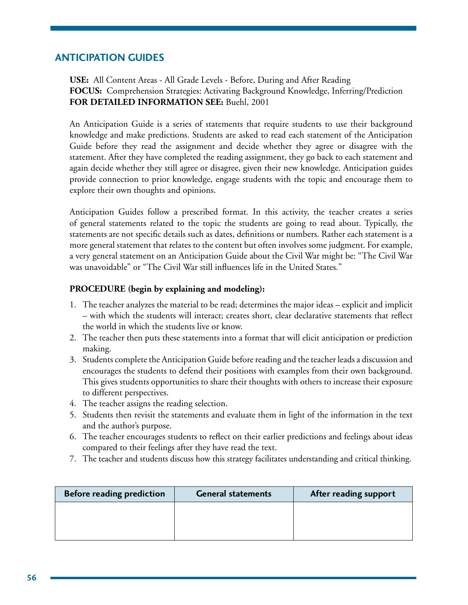### **Anticipation Guides**

**USE:** All Content Areas - All Grade Levels - Before, During and After Reading **FOCUS:** Comprehension Strategies: Activating Background Knowledge, Inferring/Prediction **FOR DETAILED INFORMATION SEE:** Buehl, 2001

An Anticipation Guide is a series of statements that require students to use their background knowledge and make predictions. Students are asked to read each statement of the Anticipation Guide before they read the assignment and decide whether they agree or disagree with the statement. After they have completed the reading assignment, they go back to each statement and again decide whether they still agree or disagree, given their new knowledge. Anticipation guides provide connection to prior knowledge, engage students with the topic and encourage them to explore their own thoughts and opinions.

Anticipation Guides follow a prescribed format. In this activity, the teacher creates a series of general statements related to the topic the students are going to read about. Typically, the statements are not specific details such as dates, definitions or numbers. Rather each statement is a more general statement that relates to the content but often involves some judgment. For example, a very general statement on an Anticipation Guide about the Civil War might be: "The Civil War was unavoidable" or "The Civil War still influences life in the United States."

- 1. The teacher analyzes the material to be read; determines the major ideas explicit and implicit – with which the students will interact; creates short, clear declarative statements that reflect the world in which the students live or know.
- 2. The teacher then puts these statements into a format that will elicit anticipation or prediction making.
- 3. Students complete the Anticipation Guide before reading and the teacher leads a discussion and encourages the students to defend their positions with examples from their own background. This gives students opportunities to share their thoughts with others to increase their exposure to different perspectives.
- 4. The teacher assigns the reading selection.
- 5. Students then revisit the statements and evaluate them in light of the information in the text and the author's purpose.
- 6. The teacher encourages students to reflect on their earlier predictions and feelings about ideas compared to their feelings after they have read the text.
- 7. The teacher and students discuss how this strategy facilitates understanding and critical thinking.

| <b>Before reading prediction</b> | <b>General statements</b> | After reading support |
|----------------------------------|---------------------------|-----------------------|
|                                  |                           |                       |
|                                  |                           |                       |
|                                  |                           |                       |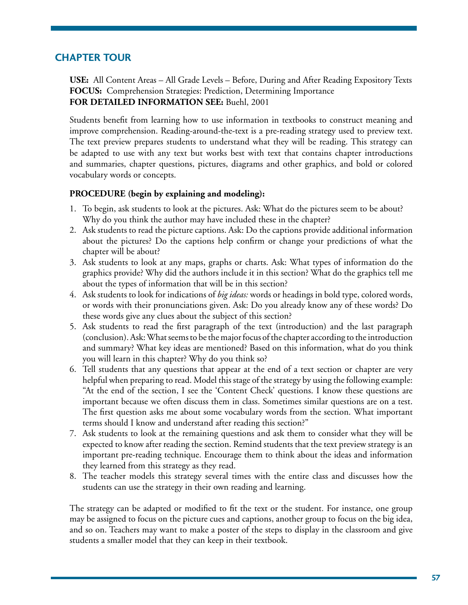# **Chapter Tour**

**USE:** All Content Areas – All Grade Levels – Before, During and After Reading Expository Texts **FOCUS:** Comprehension Strategies: Prediction, Determining Importance **FOR DETAILED INFORMATION SEE:** Buehl, 2001

Students benefit from learning how to use information in textbooks to construct meaning and improve comprehension. Reading-around-the-text is a pre-reading strategy used to preview text. The text preview prepares students to understand what they will be reading. This strategy can be adapted to use with any text but works best with text that contains chapter introductions and summaries, chapter questions, pictures, diagrams and other graphics, and bold or colored vocabulary words or concepts.

#### **PROCEDURE (begin by explaining and modeling):**

- 1. To begin, ask students to look at the pictures. Ask: What do the pictures seem to be about? Why do you think the author may have included these in the chapter?
- 2. Ask students to read the picture captions. Ask: Do the captions provide additional information about the pictures? Do the captions help confirm or change your predictions of what the chapter will be about?
- 3. Ask students to look at any maps, graphs or charts. Ask: What types of information do the graphics provide? Why did the authors include it in this section? What do the graphics tell me about the types of information that will be in this section?
- 4. Ask students to look for indications of *big ideas:* words or headings in bold type, colored words, or words with their pronunciations given. Ask: Do you already know any of these words? Do these words give any clues about the subject of this section?
- 5. Ask students to read the first paragraph of the text (introduction) and the last paragraph (conclusion). Ask: What seems to be the major focus of the chapter according to the introduction and summary? What key ideas are mentioned? Based on this information, what do you think you will learn in this chapter? Why do you think so?
- 6. Tell students that any questions that appear at the end of a text section or chapter are very helpful when preparing to read. Model this stage of the strategy by using the following example: "At the end of the section, I see the 'Content Check' questions. I know these questions are important because we often discuss them in class. Sometimes similar questions are on a test. The first question asks me about some vocabulary words from the section. What important terms should I know and understand after reading this section?"
- 7. Ask students to look at the remaining questions and ask them to consider what they will be expected to know after reading the section. Remind students that the text preview strategy is an important pre-reading technique. Encourage them to think about the ideas and information they learned from this strategy as they read.
- 8. The teacher models this strategy several times with the entire class and discusses how the students can use the strategy in their own reading and learning.

The strategy can be adapted or modified to fit the text or the student. For instance, one group may be assigned to focus on the picture cues and captions, another group to focus on the big idea, and so on. Teachers may want to make a poster of the steps to display in the classroom and give students a smaller model that they can keep in their textbook.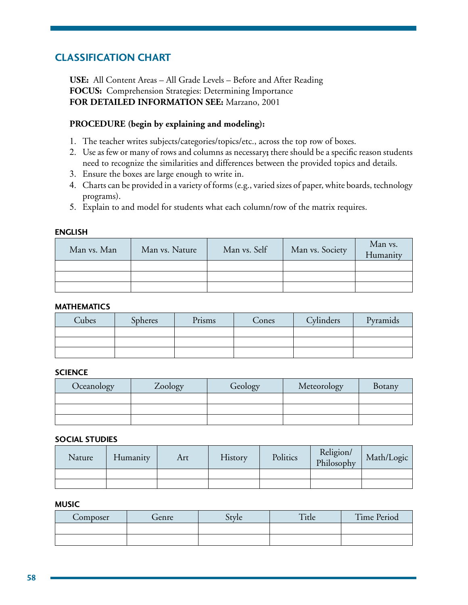# **Classification Chart**

**USE:** All Content Areas – All Grade Levels – Before and After Reading **FOCUS:** Comprehension Strategies: Determining Importance **FOR DETAILED INFORMATION SEE:** Marzano, 2001

### **PROCEDURE (begin by explaining and modeling):**

- 1. The teacher writes subjects/categories/topics/etc., across the top row of boxes.
- 2. Use as few or many of rows and columns as necessary**;** there should be a specific reason students need to recognize the similarities and differences between the provided topics and details.
- 3. Ensure the boxes are large enough to write in.
- 4. Charts can be provided in a variety of forms (e.g., varied sizes of paper, white boards, technology programs).
- 5. Explain to and model for students what each column/row of the matrix requires.

#### **English**

| Man vs. Man | Man vs. Nature | Man vs. Self | Man vs. Society | Man vs.<br>Humanity |
|-------------|----------------|--------------|-----------------|---------------------|
|             |                |              |                 |                     |
|             |                |              |                 |                     |
|             |                |              |                 |                     |

#### **Mathematics**

| Cubes | <b>Spheres</b> | Prisms | Cones | Cylinders | Pyramids |
|-------|----------------|--------|-------|-----------|----------|
|       |                |        |       |           |          |
|       |                |        |       |           |          |
|       |                |        |       |           |          |

#### **Science**

| Oceanology | Zoology | Geology | Meteorology | Botany |
|------------|---------|---------|-------------|--------|
|            |         |         |             |        |
|            |         |         |             |        |
|            |         |         |             |        |

#### **Social Studies**

| Nature | Humanity | Art | History | Politics | Religion/<br>Philosophy | Math/Logic |
|--------|----------|-----|---------|----------|-------------------------|------------|
|        |          |     |         |          |                         |            |
|        |          |     |         |          |                         |            |

#### **Music**

| Composer | fenre | tyle | $H^{\bullet}$<br>1tle | <b>Time Period</b> |
|----------|-------|------|-----------------------|--------------------|
|          |       |      |                       |                    |
|          |       |      |                       |                    |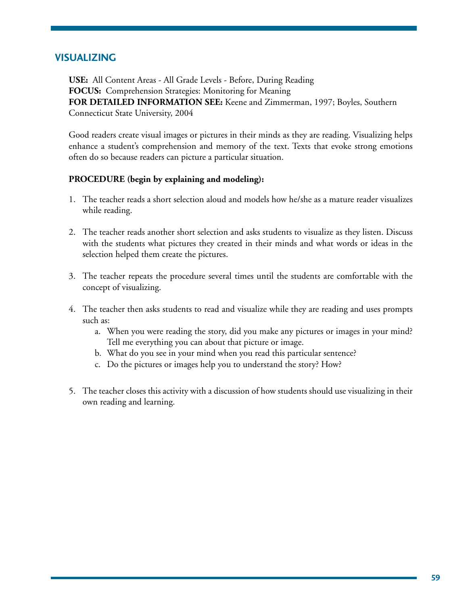### **Visualizing**

**USE:** All Content Areas - All Grade Levels - Before, During Reading **FOCUS:** Comprehension Strategies: Monitoring for Meaning **FOR DETAILED INFORMATION SEE:** Keene and Zimmerman, 1997; Boyles, Southern Connecticut State University, 2004

Good readers create visual images or pictures in their minds as they are reading. Visualizing helps enhance a student's comprehension and memory of the text. Texts that evoke strong emotions often do so because readers can picture a particular situation.

- 1. The teacher reads a short selection aloud and models how he/she as a mature reader visualizes while reading.
- 2. The teacher reads another short selection and asks students to visualize as they listen. Discuss with the students what pictures they created in their minds and what words or ideas in the selection helped them create the pictures.
- 3. The teacher repeats the procedure several times until the students are comfortable with the concept of visualizing.
- 4. The teacher then asks students to read and visualize while they are reading and uses prompts such as:
	- a. When you were reading the story, did you make any pictures or images in your mind? Tell me everything you can about that picture or image.
	- b. What do you see in your mind when you read this particular sentence?
	- c. Do the pictures or images help you to understand the story? How?
- 5. The teacher closes this activity with a discussion of how students should use visualizing in their own reading and learning.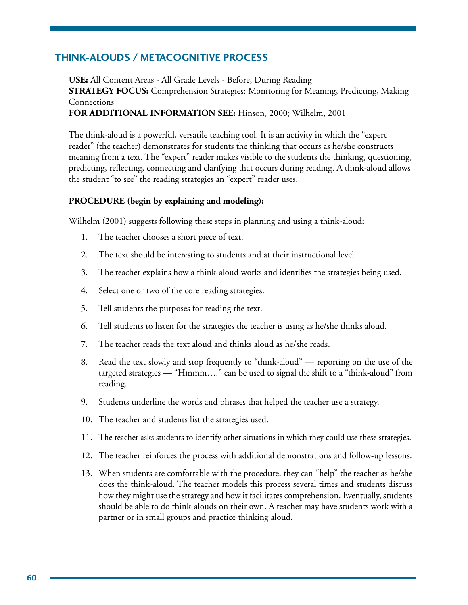## **Think-Alouds / Metacognitive Process**

**USE:** All Content Areas - All Grade Levels - Before, During Reading **STRATEGY FOCUS:** Comprehension Strategies: Monitoring for Meaning, Predicting, Making Connections **FOR ADDITIONAL INFORMATION SEE:** Hinson, 2000; Wilhelm, 2001

The think-aloud is a powerful, versatile teaching tool. It is an activity in which the "expert reader" (the teacher) demonstrates for students the thinking that occurs as he/she constructs meaning from a text. The "expert" reader makes visible to the students the thinking, questioning, predicting, reflecting, connecting and clarifying that occurs during reading. A think-aloud allows the student "to see" the reading strategies an "expert" reader uses.

#### **PROCEDURE (begin by explaining and modeling):**

Wilhelm (2001) suggests following these steps in planning and using a think-aloud:

- 1. The teacher chooses a short piece of text.
- 2. The text should be interesting to students and at their instructional level.
- 3. The teacher explains how a think-aloud works and identifies the strategies being used.
- 4. Select one or two of the core reading strategies.
- 5. Tell students the purposes for reading the text.
- 6. Tell students to listen for the strategies the teacher is using as he/she thinks aloud.
- 7. The teacher reads the text aloud and thinks aloud as he/she reads.
- 8. Read the text slowly and stop frequently to "think-aloud" reporting on the use of the targeted strategies — "Hmmm…." can be used to signal the shift to a "think-aloud" from reading.
- 9. Students underline the words and phrases that helped the teacher use a strategy.
- 10. The teacher and students list the strategies used.
- 11. The teacher asks students to identify other situations in which they could use these strategies.
- 12. The teacher reinforces the process with additional demonstrations and follow-up lessons.
- 13. When students are comfortable with the procedure, they can "help" the teacher as he/she does the think-aloud. The teacher models this process several times and students discuss how they might use the strategy and how it facilitates comprehension. Eventually, students should be able to do think-alouds on their own. A teacher may have students work with a partner or in small groups and practice thinking aloud.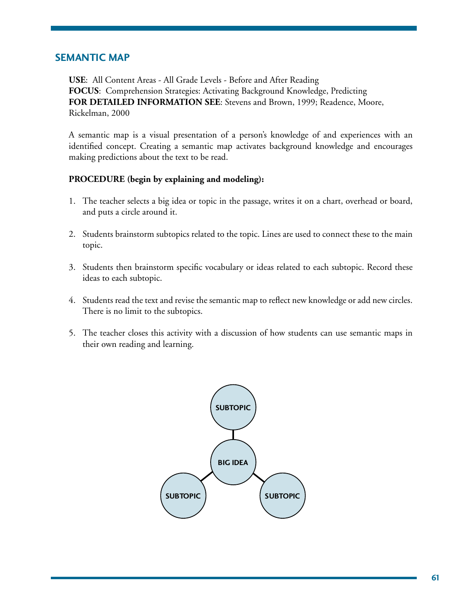### **Semantic Map**

**USE**: All Content Areas - All Grade Levels - Before and After Reading **FOCUS**: Comprehension Strategies: Activating Background Knowledge, Predicting **FOR DETAILED INFORMATION SEE**: Stevens and Brown, 1999; Readence, Moore, Rickelman, 2000

A semantic map is a visual presentation of a person's knowledge of and experiences with an identified concept. Creating a semantic map activates background knowledge and encourages making predictions about the text to be read.

- 1. The teacher selects a big idea or topic in the passage, writes it on a chart, overhead or board, and puts a circle around it.
- 2. Students brainstorm subtopics related to the topic. Lines are used to connect these to the main topic.
- 3. Students then brainstorm specific vocabulary or ideas related to each subtopic. Record these ideas to each subtopic.
- 4. Students read the text and revise the semantic map to reflect new knowledge or add new circles. There is no limit to the subtopics.
- 5. The teacher closes this activity with a discussion of how students can use semantic maps in their own reading and learning.

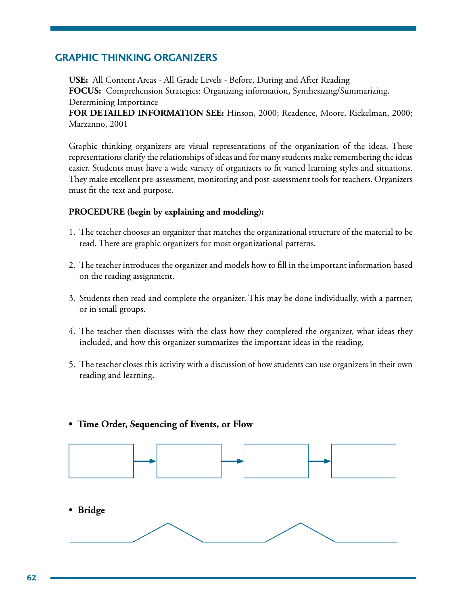### **Graphic Thinking Organizers**

**USE:** All Content Areas - All Grade Levels - Before, During and After Reading **FOCUS:** Comprehension Strategies: Organizing information, Synthesizing/Summarizing, Determining Importance

**FOR DETAILED INFORMATION SEE:** Hinson, 2000; Readence, Moore, Rickelman, 2000; Marzanno, 2001

Graphic thinking organizers are visual representations of the organization of the ideas. These representations clarify the relationships of ideas and for many students make remembering the ideas easier. Students must have a wide variety of organizers to fit varied learning styles and situations. They make excellent pre-assessment, monitoring and post-assessment tools for teachers. Organizers must fit the text and purpose.

### **PROCEDURE (begin by explaining and modeling):**

- 1. The teacher chooses an organizer that matches the organizational structure of the material to be read. There are graphic organizers for most organizational patterns.
- 2. The teacher introduces the organizer and models how to fill in the important information based on the reading assignment.
- 3. Students then read and complete the organizer. This may be done individually, with a partner, or in small groups.
- 4. The teacher then discusses with the class how they completed the organizer, what ideas they included, and how this organizer summarizes the important ideas in the reading.
- 5. The teacher closes this activity with a discussion of how students can use organizers in their own reading and learning.

#### **• Time Order, Sequencing of Events, or Flow**

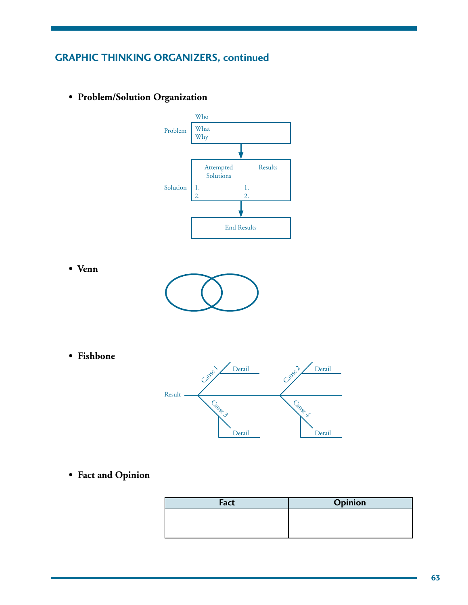# **Graphic Thinking Organizers, continued**

- **Venn • Fishbone** Result Detail Cause Cause 3 Detail Cause 2 Cause & Problem Solution Who What Why Attempted Solutions 1. 2. Results 1. 2. End Results
- **Problem/Solution Organization**

**• Fact and Opinion**

| Fact | Opinion |
|------|---------|
|      |         |
|      |         |
|      |         |

Detail

Detail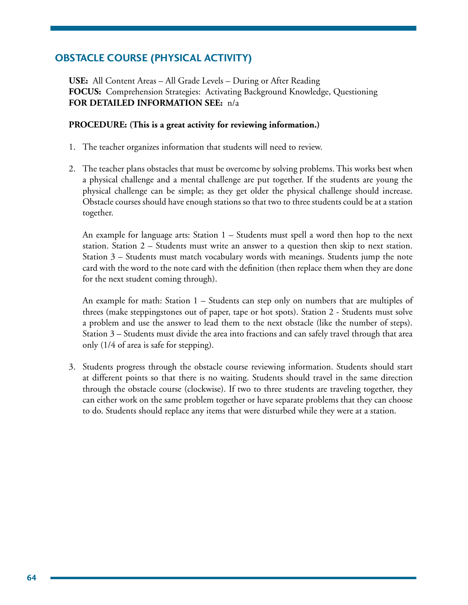# **Obstacle Course (Physical Activity)**

**USE:** All Content Areas – All Grade Levels – During or After Reading **FOCUS:** Comprehension Strategies: Activating Background Knowledge, Questioning **FOR DETAILED INFORMATION SEE:** n/a

#### **PROCEDURE: (This is a great activity for reviewing information.)**

- 1. The teacher organizes information that students will need to review.
- 2. The teacher plans obstacles that must be overcome by solving problems. This works best when a physical challenge and a mental challenge are put together. If the students are young the physical challenge can be simple; as they get older the physical challenge should increase. Obstacle courses should have enough stations so that two to three students could be at a station together.

 An example for language arts: Station 1 – Students must spell a word then hop to the next station. Station 2 – Students must write an answer to a question then skip to next station. Station 3 – Students must match vocabulary words with meanings. Students jump the note card with the word to the note card with the definition (then replace them when they are done for the next student coming through).

 An example for math: Station 1 – Students can step only on numbers that are multiples of threes (make steppingstones out of paper, tape or hot spots). Station 2 - Students must solve a problem and use the answer to lead them to the next obstacle (like the number of steps). Station 3 – Students must divide the area into fractions and can safely travel through that area only (1/4 of area is safe for stepping).

3. Students progress through the obstacle course reviewing information. Students should start at different points so that there is no waiting. Students should travel in the same direction through the obstacle course (clockwise). If two to three students are traveling together, they can either work on the same problem together or have separate problems that they can choose to do. Students should replace any items that were disturbed while they were at a station.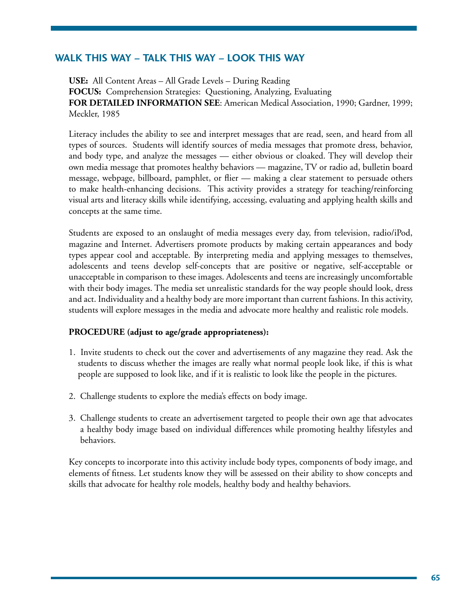# **Walk this Way – Talk this Way – Look this Way**

**USE:** All Content Areas – All Grade Levels – During Reading **FOCUS:** Comprehension Strategies: Questioning, Analyzing, Evaluating **FOR DETAILED INFORMATION SEE**: American Medical Association, 1990; Gardner, 1999; Meckler, 1985

Literacy includes the ability to see and interpret messages that are read, seen, and heard from all types of sources. Students will identify sources of media messages that promote dress, behavior, and body type, and analyze the messages — either obvious or cloaked. They will develop their own media message that promotes healthy behaviors — magazine, TV or radio ad, bulletin board message, webpage, billboard, pamphlet, or flier — making a clear statement to persuade others to make health-enhancing decisions. This activity provides a strategy for teaching/reinforcing visual arts and literacy skills while identifying, accessing, evaluating and applying health skills and concepts at the same time.

Students are exposed to an onslaught of media messages every day, from television, radio/iPod, magazine and Internet. Advertisers promote products by making certain appearances and body types appear cool and acceptable. By interpreting media and applying messages to themselves, adolescents and teens develop self-concepts that are positive or negative, self-acceptable or unacceptable in comparison to these images. Adolescents and teens are increasingly uncomfortable with their body images. The media set unrealistic standards for the way people should look, dress and act. Individuality and a healthy body are more important than current fashions. In this activity, students will explore messages in the media and advocate more healthy and realistic role models.

### **PROCEDURE (adjust to age/grade appropriateness):**

- 1. Invite students to check out the cover and advertisements of any magazine they read. Ask the students to discuss whether the images are really what normal people look like, if this is what people are supposed to look like, and if it is realistic to look like the people in the pictures.
- 2. Challenge students to explore the media's effects on body image.
- 3. Challenge students to create an advertisement targeted to people their own age that advocates a healthy body image based on individual differences while promoting healthy lifestyles and behaviors.

Key concepts to incorporate into this activity include body types, components of body image, and elements of fitness. Let students know they will be assessed on their ability to show concepts and skills that advocate for healthy role models, healthy body and healthy behaviors.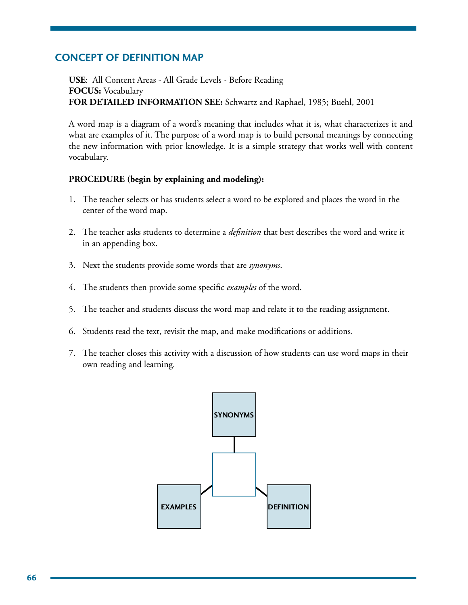### **Concept of Definition Map**

**USE**: All Content Areas - All Grade Levels - Before Reading **FOCUS:** Vocabulary **FOR DETAILED INFORMATION SEE:** Schwartz and Raphael, 1985; Buehl, 2001

A word map is a diagram of a word's meaning that includes what it is, what characterizes it and what are examples of it. The purpose of a word map is to build personal meanings by connecting the new information with prior knowledge. It is a simple strategy that works well with content vocabulary.

- 1. The teacher selects or has students select a word to be explored and places the word in the center of the word map.
- 2. The teacher asks students to determine a *definition* that best describes the word and write it in an appending box.
- 3. Next the students provide some words that are *synonyms*.
- 4. The students then provide some specific *examples* of the word.
- 5. The teacher and students discuss the word map and relate it to the reading assignment.
- 6. Students read the text, revisit the map, and make modifications or additions.
- 7. The teacher closes this activity with a discussion of how students can use word maps in their own reading and learning.

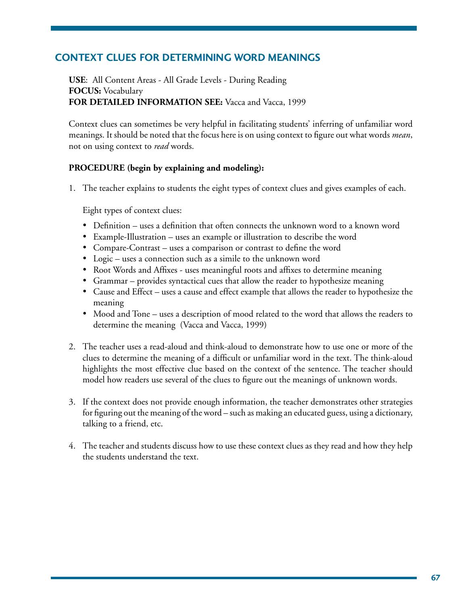# **Context Clues for Determining Word Meanings**

**USE**: All Content Areas - All Grade Levels - During Reading **FOCUS:** Vocabulary **FOR DETAILED INFORMATION SEE:** Vacca and Vacca, 1999

Context clues can sometimes be very helpful in facilitating students' inferring of unfamiliar word meanings. It should be noted that the focus here is on using context to figure out what words *mean*, not on using context to *read* words.

### **PROCEDURE (begin by explaining and modeling):**

1. The teacher explains to students the eight types of context clues and gives examples of each.

Eight types of context clues:

- Definition uses a definition that often connects the unknown word to a known word
- Example-Illustration uses an example or illustration to describe the word
- Compare-Contrast uses a comparison or contrast to define the word
- Logic uses a connection such as a simile to the unknown word
- Root Words and Affixes uses meaningful roots and affixes to determine meaning
- Grammar provides syntactical cues that allow the reader to hypothesize meaning
- Cause and Effect uses a cause and effect example that allows the reader to hypothesize the meaning
- Mood and Tone uses a description of mood related to the word that allows the readers to determine the meaning (Vacca and Vacca, 1999)
- 2. The teacher uses a read-aloud and think-aloud to demonstrate how to use one or more of the clues to determine the meaning of a difficult or unfamiliar word in the text. The think-aloud highlights the most effective clue based on the context of the sentence. The teacher should model how readers use several of the clues to figure out the meanings of unknown words.
- 3. If the context does not provide enough information, the teacher demonstrates other strategies for figuring out the meaning of the word – such as making an educated guess, using a dictionary, talking to a friend, etc.
- 4. The teacher and students discuss how to use these context clues as they read and how they help the students understand the text.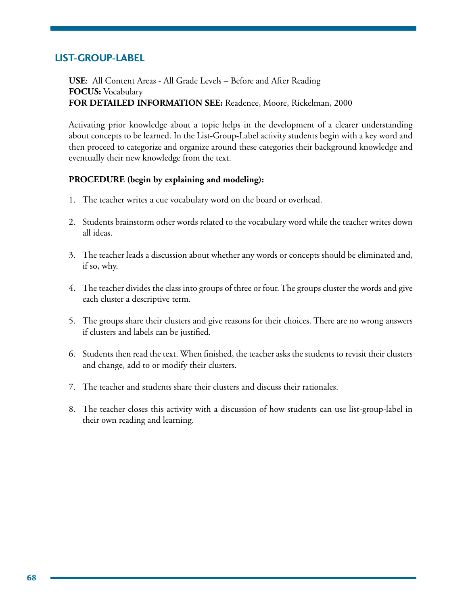### **List-Group-Label**

**USE**: All Content Areas - All Grade Levels – Before and After Reading **FOCUS:** Vocabulary **FOR DETAILED INFORMATION SEE:** Readence, Moore, Rickelman, 2000

Activating prior knowledge about a topic helps in the development of a clearer understanding about concepts to be learned. In the List-Group-Label activity students begin with a key word and then proceed to categorize and organize around these categories their background knowledge and eventually their new knowledge from the text.

- 1. The teacher writes a cue vocabulary word on the board or overhead.
- 2. Students brainstorm other words related to the vocabulary word while the teacher writes down all ideas.
- 3. The teacher leads a discussion about whether any words or concepts should be eliminated and, if so, why.
- 4. The teacher divides the class into groups of three or four. The groups cluster the words and give each cluster a descriptive term.
- 5. The groups share their clusters and give reasons for their choices. There are no wrong answers if clusters and labels can be justified.
- 6. Students then read the text. When finished, the teacher asks the students to revisit their clusters and change, add to or modify their clusters.
- 7. The teacher and students share their clusters and discuss their rationales.
- 8. The teacher closes this activity with a discussion of how students can use list-group-label in their own reading and learning.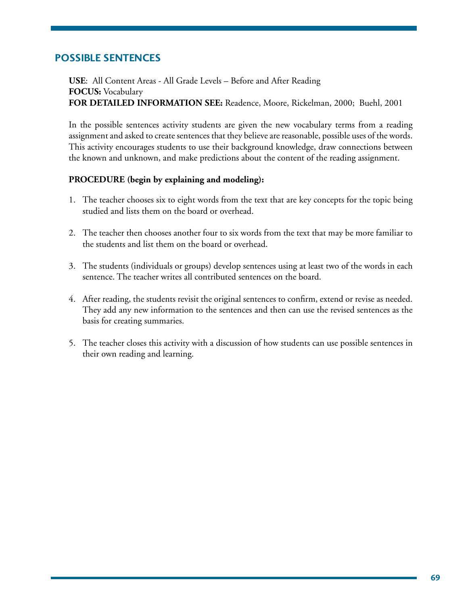# **Possible Sentences**

**USE**: All Content Areas - All Grade Levels – Before and After Reading **FOCUS:** Vocabulary **FOR DETAILED INFORMATION SEE:** Readence, Moore, Rickelman, 2000; Buehl, 2001

In the possible sentences activity students are given the new vocabulary terms from a reading assignment and asked to create sentences that they believe are reasonable, possible uses of the words. This activity encourages students to use their background knowledge, draw connections between the known and unknown, and make predictions about the content of the reading assignment.

- 1. The teacher chooses six to eight words from the text that are key concepts for the topic being studied and lists them on the board or overhead.
- 2. The teacher then chooses another four to six words from the text that may be more familiar to the students and list them on the board or overhead.
- 3. The students (individuals or groups) develop sentences using at least two of the words in each sentence. The teacher writes all contributed sentences on the board.
- 4. After reading, the students revisit the original sentences to confirm, extend or revise as needed. They add any new information to the sentences and then can use the revised sentences as the basis for creating summaries.
- 5. The teacher closes this activity with a discussion of how students can use possible sentences in their own reading and learning.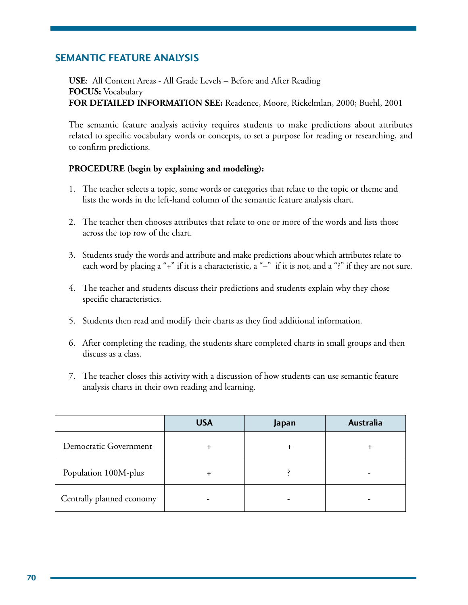# **Semantic Feature Analysis**

**USE**: All Content Areas - All Grade Levels – Before and After Reading **FOCUS:** Vocabulary **FOR DETAILED INFORMATION SEE:** Readence, Moore, Rickelmlan, 2000; Buehl, 2001

The semantic feature analysis activity requires students to make predictions about attributes related to specific vocabulary words or concepts, to set a purpose for reading or researching, and to confirm predictions.

- 1. The teacher selects a topic, some words or categories that relate to the topic or theme and lists the words in the left-hand column of the semantic feature analysis chart.
- 2. The teacher then chooses attributes that relate to one or more of the words and lists those across the top row of the chart.
- 3. Students study the words and attribute and make predictions about which attributes relate to each word by placing a "+" if it is a characteristic, a "-" if it is not, and a "?" if they are not sure.
- 4. The teacher and students discuss their predictions and students explain why they chose specific characteristics.
- 5. Students then read and modify their charts as they find additional information.
- 6. After completing the reading, the students share completed charts in small groups and then discuss as a class.
- 7. The teacher closes this activity with a discussion of how students can use semantic feature analysis charts in their own reading and learning.

|                           | <b>USA</b> | Japan | Australia |
|---------------------------|------------|-------|-----------|
| Democratic Government     |            |       |           |
| Population 100M-plus      |            |       |           |
| Centrally planned economy |            |       |           |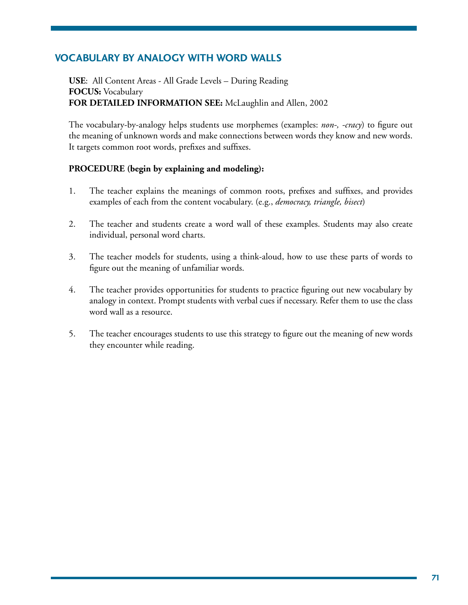# **Vocabulary by Analogy with Word Walls**

**USE**: All Content Areas - All Grade Levels – During Reading **FOCUS:** Vocabulary **FOR DETAILED INFORMATION SEE:** McLaughlin and Allen, 2002

The vocabulary-by-analogy helps students use morphemes (examples: *non-, -cracy*) to figure out the meaning of unknown words and make connections between words they know and new words. It targets common root words, prefixes and suffixes.

- 1. The teacher explains the meanings of common roots, prefixes and suffixes, and provides examples of each from the content vocabulary. (e.g., *democracy, triangle, bisect*)
- 2. The teacher and students create a word wall of these examples. Students may also create individual, personal word charts.
- 3. The teacher models for students, using a think-aloud, how to use these parts of words to figure out the meaning of unfamiliar words.
- 4. The teacher provides opportunities for students to practice figuring out new vocabulary by analogy in context. Prompt students with verbal cues if necessary. Refer them to use the class word wall as a resource.
- 5. The teacher encourages students to use this strategy to figure out the meaning of new words they encounter while reading.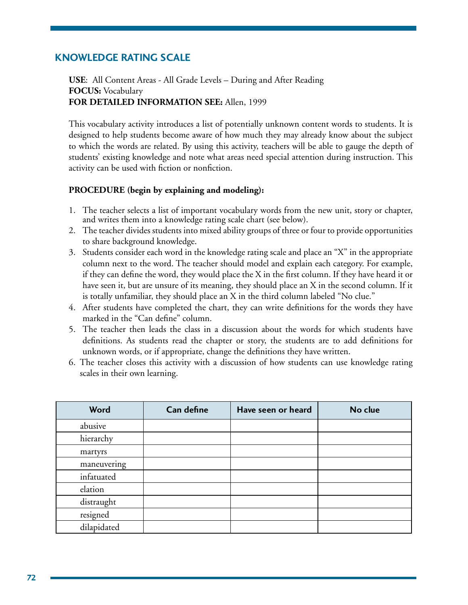# **Knowledge Rating Scale**

**USE**: All Content Areas - All Grade Levels – During and After Reading **FOCUS:** Vocabulary **FOR DETAILED INFORMATION SEE:** Allen, 1999

This vocabulary activity introduces a list of potentially unknown content words to students. It is designed to help students become aware of how much they may already know about the subject to which the words are related. By using this activity, teachers will be able to gauge the depth of students' existing knowledge and note what areas need special attention during instruction. This activity can be used with fiction or nonfiction.

- 1. The teacher selects a list of important vocabulary words from the new unit, story or chapter, and writes them into a knowledge rating scale chart (see below).
- 2. The teacher divides students into mixed ability groups of three or four to provide opportunities to share background knowledge.
- 3. Students consider each word in the knowledge rating scale and place an "X" in the appropriate column next to the word. The teacher should model and explain each category. For example, if they can define the word, they would place the X in the first column. If they have heard it or have seen it, but are unsure of its meaning, they should place an X in the second column. If it is totally unfamiliar, they should place an X in the third column labeled "No clue."
- 4. After students have completed the chart, they can write definitions for the words they have marked in the "Can define" column.
- 5. The teacher then leads the class in a discussion about the words for which students have definitions. As students read the chapter or story, the students are to add definitions for unknown words, or if appropriate, change the definitions they have written.
- 6. The teacher closes this activity with a discussion of how students can use knowledge rating scales in their own learning.

| <b>Word</b> | <b>Can define</b> | Have seen or heard | No clue |
|-------------|-------------------|--------------------|---------|
| abusive     |                   |                    |         |
| hierarchy   |                   |                    |         |
| martyrs     |                   |                    |         |
| maneuvering |                   |                    |         |
| infatuated  |                   |                    |         |
| elation     |                   |                    |         |
| distraught  |                   |                    |         |
| resigned    |                   |                    |         |
| dilapidated |                   |                    |         |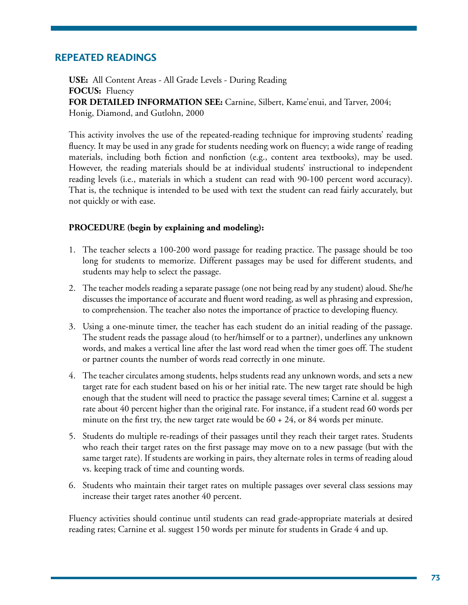## **Repeated Readings**

**USE:** All Content Areas - All Grade Levels - During Reading **FOCUS:** Fluency **FOR DETAILED INFORMATION SEE:** Carnine, Silbert, Kame'enui, and Tarver, 2004; Honig, Diamond, and Gutlohn, 2000

This activity involves the use of the repeated-reading technique for improving students' reading fluency. It may be used in any grade for students needing work on fluency; a wide range of reading materials, including both fiction and nonfiction (e.g., content area textbooks), may be used. However, the reading materials should be at individual students' instructional to independent reading levels (i.e., materials in which a student can read with 90-100 percent word accuracy). That is, the technique is intended to be used with text the student can read fairly accurately, but not quickly or with ease.

#### **PROCEDURE (begin by explaining and modeling):**

- 1. The teacher selects a 100-200 word passage for reading practice. The passage should be too long for students to memorize. Different passages may be used for different students, and students may help to select the passage.
- 2. The teacher models reading a separate passage (one not being read by any student) aloud. She/he discusses the importance of accurate and fluent word reading, as well as phrasing and expression, to comprehension. The teacher also notes the importance of practice to developing fluency.
- 3. Using a one-minute timer, the teacher has each student do an initial reading of the passage. The student reads the passage aloud (to her/himself or to a partner), underlines any unknown words, and makes a vertical line after the last word read when the timer goes off. The student or partner counts the number of words read correctly in one minute.
- 4. The teacher circulates among students, helps students read any unknown words, and sets a new target rate for each student based on his or her initial rate. The new target rate should be high enough that the student will need to practice the passage several times; Carnine et al. suggest a rate about 40 percent higher than the original rate. For instance, if a student read 60 words per minute on the first try, the new target rate would be  $60 + 24$ , or 84 words per minute.
- 5. Students do multiple re-readings of their passages until they reach their target rates. Students who reach their target rates on the first passage may move on to a new passage (but with the same target rate). If students are working in pairs, they alternate roles in terms of reading aloud vs. keeping track of time and counting words.
- 6. Students who maintain their target rates on multiple passages over several class sessions may increase their target rates another 40 percent.

Fluency activities should continue until students can read grade-appropriate materials at desired reading rates; Carnine et al. suggest 150 words per minute for students in Grade 4 and up.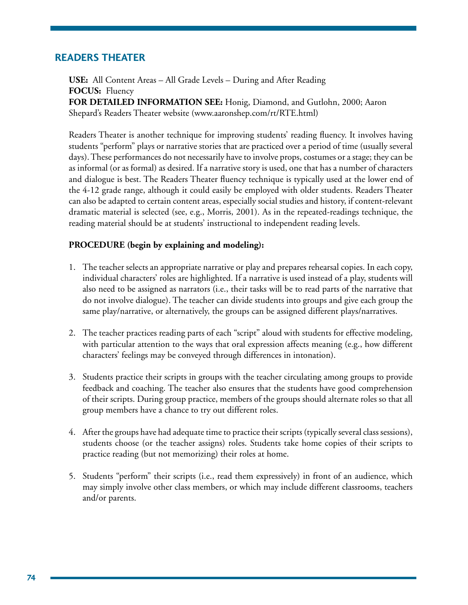### **Readers Theater**

**USE:** All Content Areas – All Grade Levels – During and After Reading **FOCUS:** Fluency **FOR DETAILED INFORMATION SEE:** Honig, Diamond, and Gutlohn, 2000; Aaron Shepard's Readers Theater website (www.aaronshep.com/rt/RTE.html)

Readers Theater is another technique for improving students' reading fluency. It involves having students "perform" plays or narrative stories that are practiced over a period of time (usually several days). These performances do not necessarily have to involve props, costumes or a stage; they can be as informal (or as formal) as desired. If a narrative story is used, one that has a number of characters and dialogue is best. The Readers Theater fluency technique is typically used at the lower end of the 4-12 grade range, although it could easily be employed with older students. Readers Theater can also be adapted to certain content areas, especially social studies and history, if content-relevant dramatic material is selected (see, e.g., Morris, 2001). As in the repeated-readings technique, the reading material should be at students' instructional to independent reading levels.

- 1. The teacher selects an appropriate narrative or play and prepares rehearsal copies. In each copy, individual characters' roles are highlighted. If a narrative is used instead of a play, students will also need to be assigned as narrators (i.e., their tasks will be to read parts of the narrative that do not involve dialogue). The teacher can divide students into groups and give each group the same play/narrative, or alternatively, the groups can be assigned different plays/narratives.
- 2. The teacher practices reading parts of each "script" aloud with students for effective modeling, with particular attention to the ways that oral expression affects meaning (e.g., how different characters' feelings may be conveyed through differences in intonation).
- 3. Students practice their scripts in groups with the teacher circulating among groups to provide feedback and coaching. The teacher also ensures that the students have good comprehension of their scripts. During group practice, members of the groups should alternate roles so that all group members have a chance to try out different roles.
- 4. After the groups have had adequate time to practice their scripts (typically several class sessions), students choose (or the teacher assigns) roles. Students take home copies of their scripts to practice reading (but not memorizing) their roles at home.
- 5. Students "perform" their scripts (i.e., read them expressively) in front of an audience, which may simply involve other class members, or which may include different classrooms, teachers and/or parents.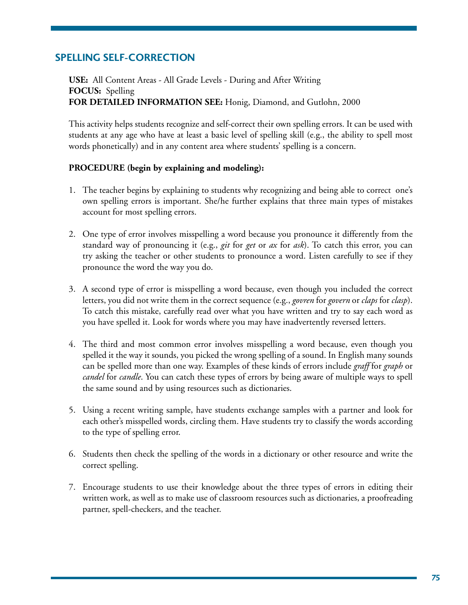# **Spelling Self-Correction**

**USE:** All Content Areas - All Grade Levels - During and After Writing **FOCUS:** Spelling **FOR DETAILED INFORMATION SEE:** Honig, Diamond, and Gutlohn, 2000

This activity helps students recognize and self-correct their own spelling errors. It can be used with students at any age who have at least a basic level of spelling skill (e.g., the ability to spell most words phonetically) and in any content area where students' spelling is a concern.

- 1. The teacher begins by explaining to students why recognizing and being able to correct one's own spelling errors is important. She/he further explains that three main types of mistakes account for most spelling errors.
- 2. One type of error involves misspelling a word because you pronounce it differently from the standard way of pronouncing it (e.g., *git* for *get* or *ax* for *ask*). To catch this error, you can try asking the teacher or other students to pronounce a word. Listen carefully to see if they pronounce the word the way you do.
- 3. A second type of error is misspelling a word because, even though you included the correct letters, you did not write them in the correct sequence (e.g., *govren* for *govern* or *claps* for *clasp*). To catch this mistake, carefully read over what you have written and try to say each word as you have spelled it. Look for words where you may have inadvertently reversed letters.
- 4. The third and most common error involves misspelling a word because, even though you spelled it the way it sounds, you picked the wrong spelling of a sound. In English many sounds can be spelled more than one way. Examples of these kinds of errors include *graff* for *graph* or *candel* for *candle*. You can catch these types of errors by being aware of multiple ways to spell the same sound and by using resources such as dictionaries.
- 5. Using a recent writing sample, have students exchange samples with a partner and look for each other's misspelled words, circling them. Have students try to classify the words according to the type of spelling error.
- 6. Students then check the spelling of the words in a dictionary or other resource and write the correct spelling.
- 7. Encourage students to use their knowledge about the three types of errors in editing their written work, as well as to make use of classroom resources such as dictionaries, a proofreading partner, spell-checkers, and the teacher.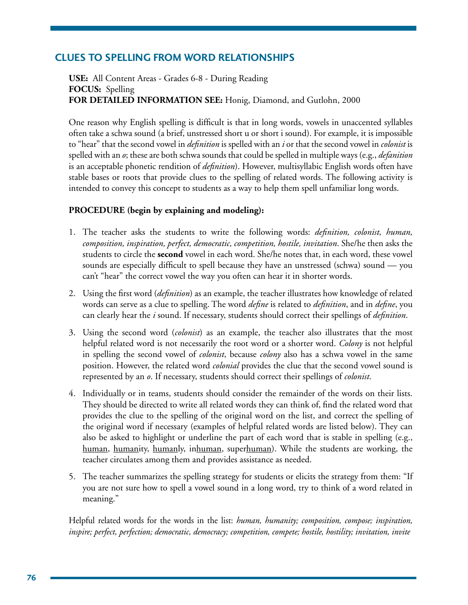# **Clues to Spelling from Word Relationships**

**USE:** All Content Areas - Grades 6-8 - During Reading **FOCUS:** Spelling **FOR DETAILED INFORMATION SEE:** Honig, Diamond, and Gutlohn, 2000

One reason why English spelling is difficult is that in long words, vowels in unaccented syllables often take a schwa sound (a brief, unstressed short u or short i sound). For example, it is impossible to "hear" that the second vowel in *definition* is spelled with an *i* or that the second vowel in *colonist* is spelled with an *o*; these are both schwa sounds that could be spelled in multiple ways (e.g., *defanition* is an acceptable phonetic rendition of *definition*). However, multisyllabic English words often have stable bases or roots that provide clues to the spelling of related words. The following activity is intended to convey this concept to students as a way to help them spell unfamiliar long words.

### **PROCEDURE (begin by explaining and modeling):**

- 1. The teacher asks the students to write the following words: *definition, colonist, human, composition, inspiration, perfect, democratic, competition, hostile, invitation*. She/he then asks the students to circle the **second** vowel in each word. She/he notes that, in each word, these vowel sounds are especially difficult to spell because they have an unstressed (schwa) sound — you can't "hear" the correct vowel the way you often can hear it in shorter words.
- 2. Using the first word (*definition*) as an example, the teacher illustrates how knowledge of related words can serve as a clue to spelling. The word *define* is related to *definition*, and in *define*, you can clearly hear the *i* sound. If necessary, students should correct their spellings of *definition*.
- 3. Using the second word (*colonist*) as an example, the teacher also illustrates that the most helpful related word is not necessarily the root word or a shorter word. *Colony* is not helpful in spelling the second vowel of *colonist*, because *colony* also has a schwa vowel in the same position. However, the related word *colonial* provides the clue that the second vowel sound is represented by an *o*. If necessary, students should correct their spellings of *colonist*.
- 4. Individually or in teams, students should consider the remainder of the words on their lists. They should be directed to write all related words they can think of, find the related word that provides the clue to the spelling of the original word on the list, and correct the spelling of the original word if necessary (examples of helpful related words are listed below). They can also be asked to highlight or underline the part of each word that is stable in spelling (e.g., human, humanity, humanly, inhuman, superhuman). While the students are working, the teacher circulates among them and provides assistance as needed.
- 5. The teacher summarizes the spelling strategy for students or elicits the strategy from them: "If you are not sure how to spell a vowel sound in a long word, try to think of a word related in meaning."

Helpful related words for the words in the list: *human, humanity; composition, compose; inspiration, inspire; perfect, perfection; democratic, democracy; competition, compete; hostile, hostility; invitation, invite*